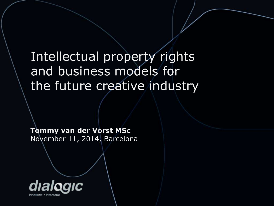# Intellectual property rights and business models for the future creative industry

**Tommy van der Vorst MSc** November 11, 2014, Barcelona

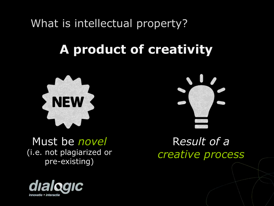What is intellectual property?

# **A product of creativity**



Must be *novel* (i.e. not plagiarized or pre-existing)





R*esult of a creative process*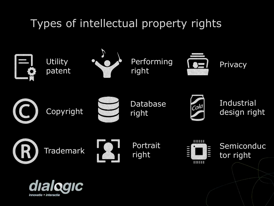# Types of intellectual property rights

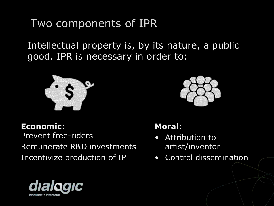#### Two components of IPR

Intellectual property is, by its nature, a public good. IPR is necessary in order to:



**Economic**: Prevent free-riders Remunerate R&D investments Incentivize production of IP



#### **Moral**:

- Attribution to artist/inventor
- Control dissemination

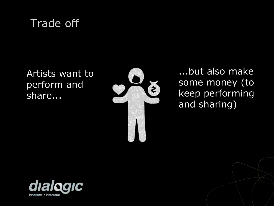## Trade off

Artists want to perform and share...



...but also make some money (to keep performing and sharing)

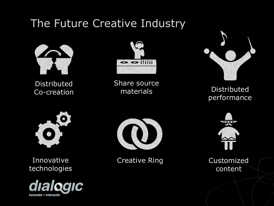### The Future Creative Industry



Distributed Co-creation



Share source materials



Distributed performance



Innovative technologies





Creative Ring



Customized content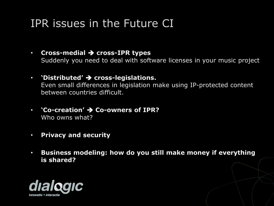### IPR issues in the Future CI

- **Cross-medial cross-IPR types** Suddenly you need to deal with software licenses in your music project
- **• 'Distributed' → cross-legislations.** Even small differences in legislation make using IP-protected content between countries difficult.
- **'Co-creation' Co-owners of IPR?** Who owns what?
- **Privacy and security**
- **Business modeling: how do you still make money if everything is shared?**

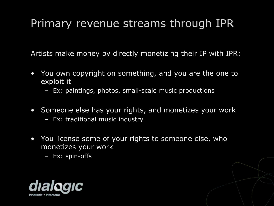## Primary revenue streams through IPR

Artists make money by directly monetizing their IP with IPR:

- You own copyright on something, and you are the one to exploit it
	- Ex: paintings, photos, small-scale music productions
- Someone else has your rights, and monetizes your work
	- Ex: traditional music industry
- You license some of your rights to someone else, who monetizes your work
	- Ex: spin-offs

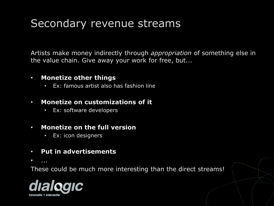#### Secondary revenue streams

Artists make money indirectly through *appropriation* of something else in the value chain. Give away your work for free, but...

#### • **Monetize other things**

Ex: famous artist also has fashion line

#### • **Monetize on customizations of it**

• Ex: software developers

#### • **Monetize on the full version**

- Ex: icon designers
- **Put in advertisements**
- ...

These could be much more interesting than the direct streams!

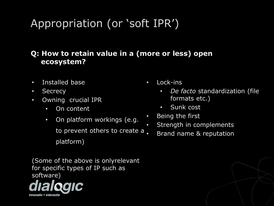# Appropriation (or 'soft IPR')

#### **Q: How to retain value in a (more or less) open ecosystem?**

- Installed base
- Secrecy
- Owning crucial IPR
	- On content
	- On platform workings (e.g. to prevent others to create a platform)

(Some of the above is onlyrelevant for specific types of IP such as software)



- Lock-ins
	- *De facto* standardization (file formats etc.)
	- Sunk cost
- Being the first
	- Strength in complements
		- Brand name & reputation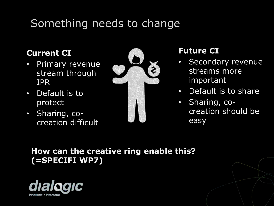# Something needs to change

#### **Current CI**

- Primary revenue stream through IPR
- Default is to protect
- Sharing, cocreation difficult



#### **Future CI**

- Secondary revenue streams more important
- Default is to share
- Sharing, cocreation should be easy

#### **How can the creative ring enable this? (=SPECIFI WP7)**

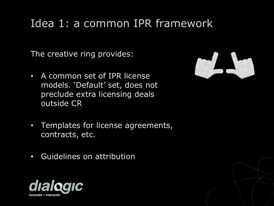### Idea 1: a common IPR framework

The creative ring provides:

• A common set of IPR license models. 'Default' set, does not preclude extra licensing deals outside CR



- Templates for license agreements, contracts, etc.
- Guidelines on attribution

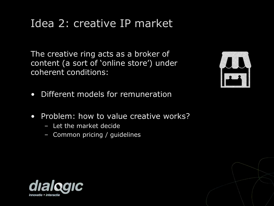#### Idea 2: creative IP market

The creative ring acts as a broker of content (a sort of 'online store') under coherent conditions:



- Different models for remuneration
- Problem: how to value creative works?
	- Let the market decide
	- Common pricing / guidelines

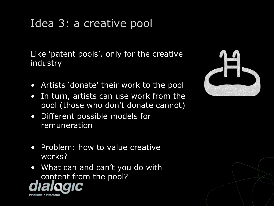## Idea 3: a creative pool

Like 'patent pools', only for the creative industry

- Artists 'donate' their work to the pool
- In turn, artists can use work from the pool (those who don't donate cannot)
- Different possible models for remuneration
- Problem: how to value creative works?
- What can and can't you do with content from the pool?

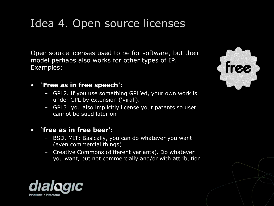### Idea 4. Open source licenses

Open source licenses used to be for software, but their model perhaps also works for other types of IP. Examples:

#### • **'Free as in free speech'**:

- GPL2. If you use something GPL'ed, your own work is under GPL by extension ('viral').
- GPL3: you also implicitly license your patents so user cannot be sued later on

#### • **'free as in free beer':**

- BSD, MIT: Basically, you can do whatever you want (even commercial things)
- Creative Commons (different variants). Do whatever you want, but not commercially and/or with attribution



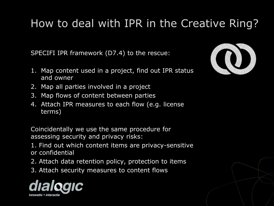# How to deal with IPR in the Creative Ring?

SPECIFI IPR framework (D7.4) to the rescue:

- 1. Map content used in a project, find out IPR status and owner
- 2. Map all parties involved in a project
- 3. Map flows of content between parties
- 4. Attach IPR measures to each flow (e.g. license terms)

Coincidentally we use the same procedure for assessing security and privacy risks:

1. Find out which content items are privacy-sensitive or confidential

- 2. Attach data retention policy, protection to items
- 3. Attach security measures to content flows